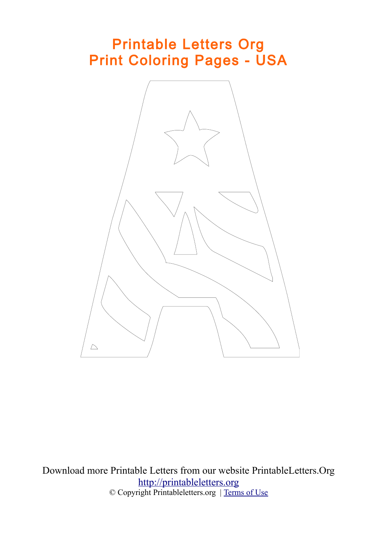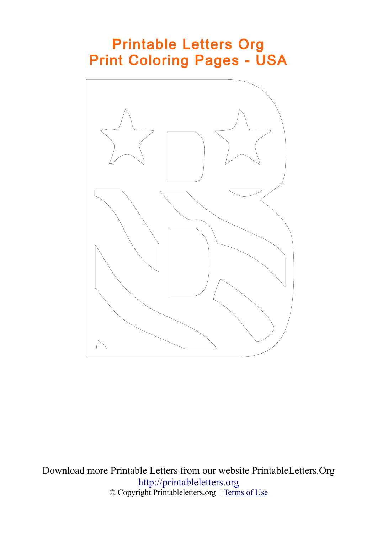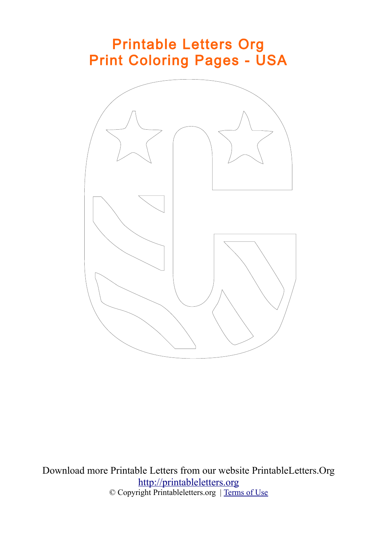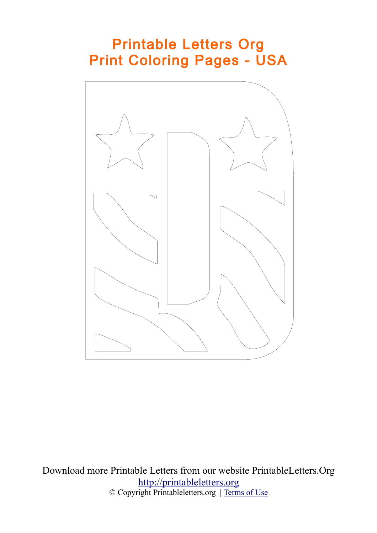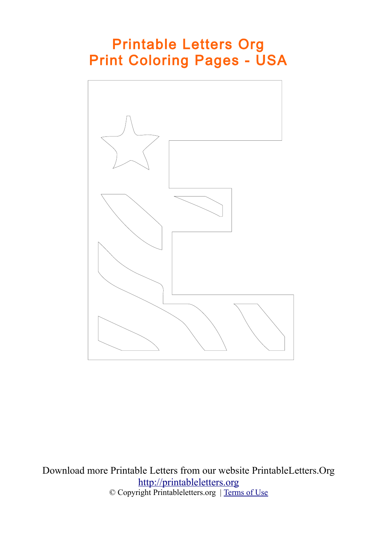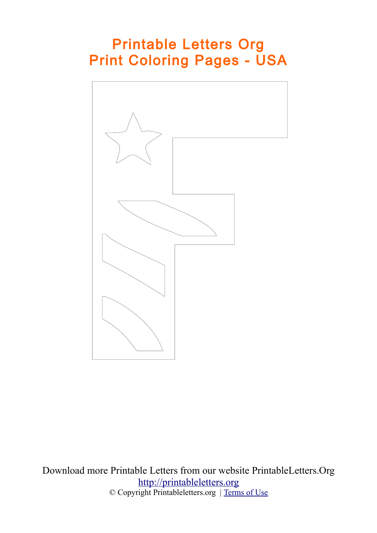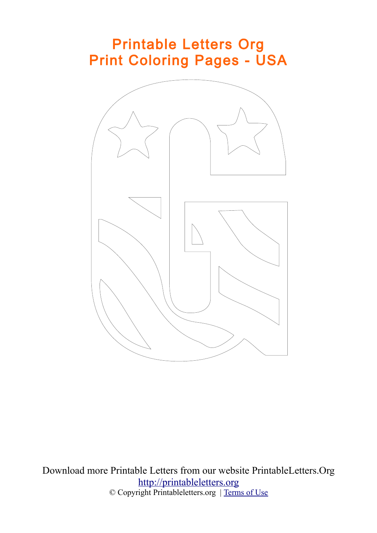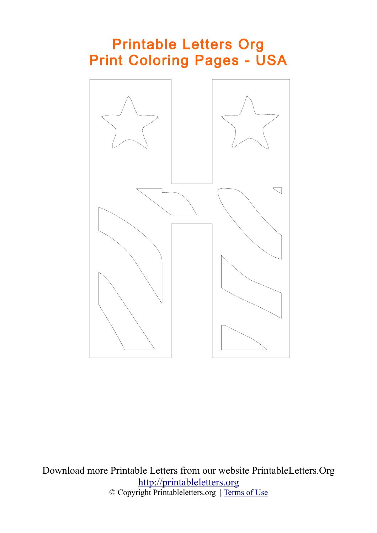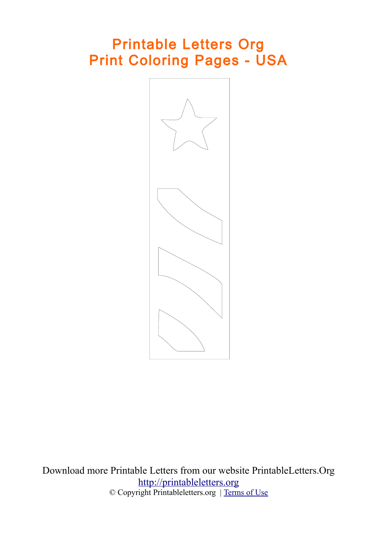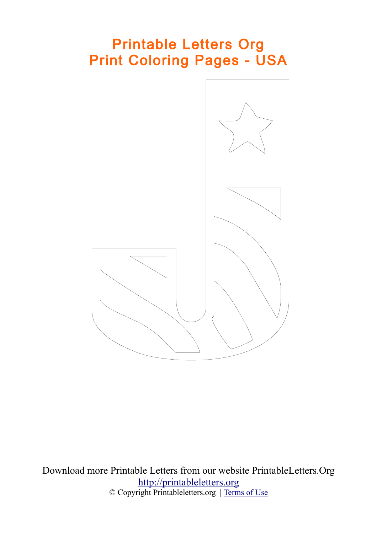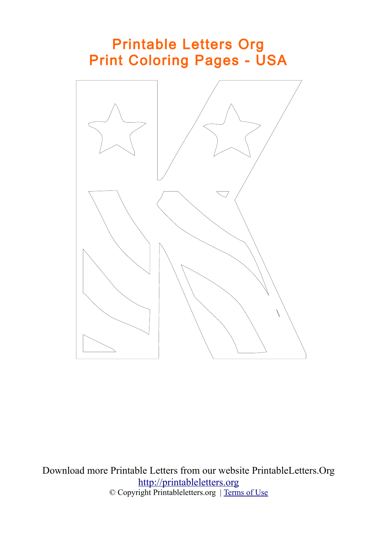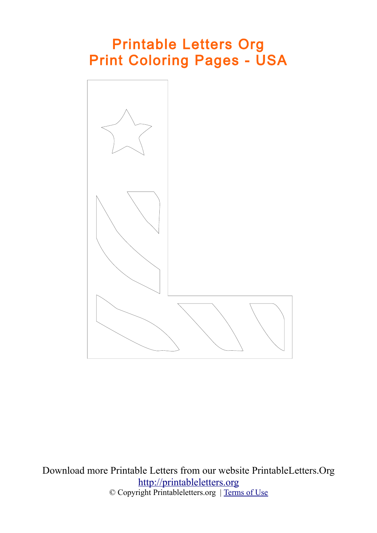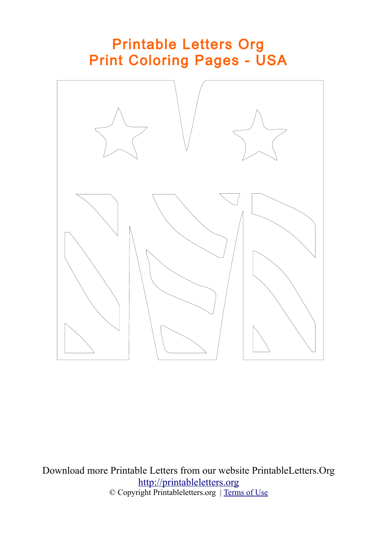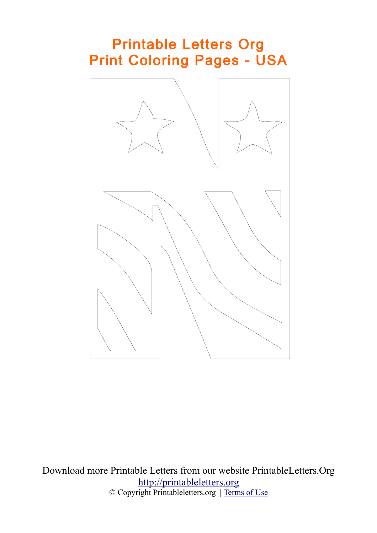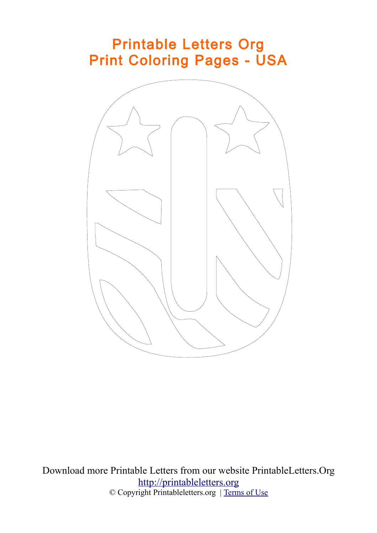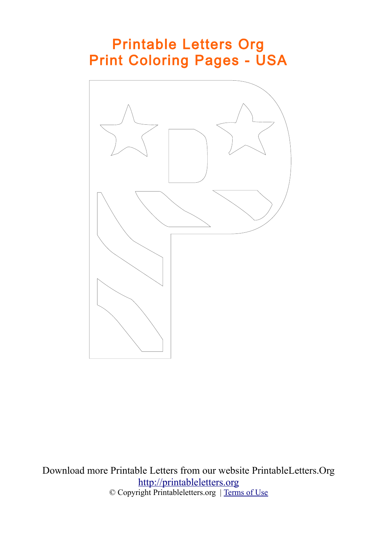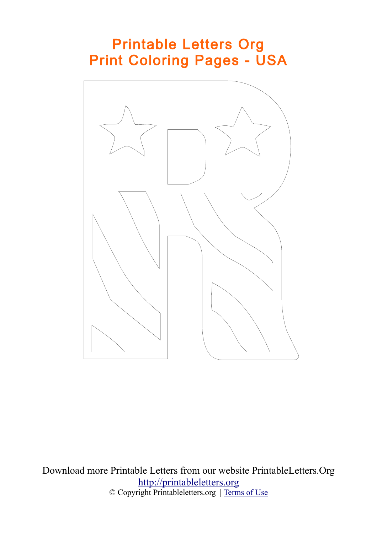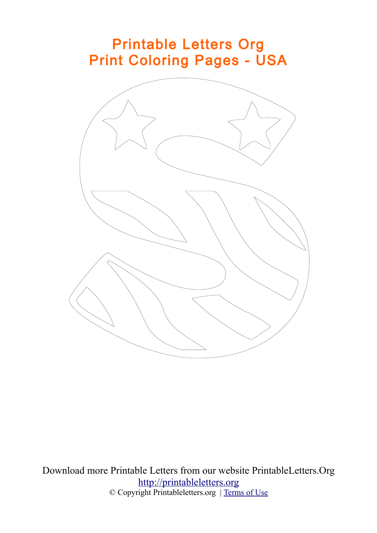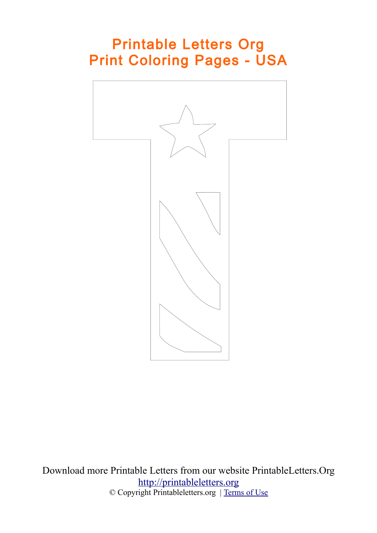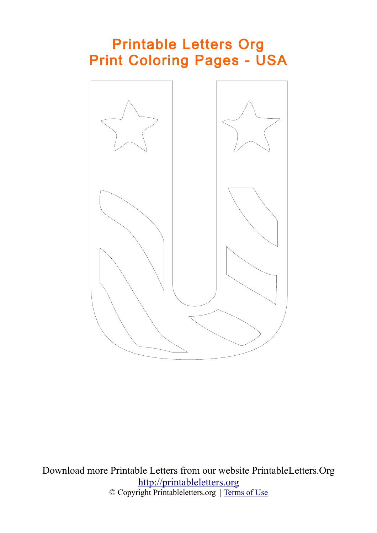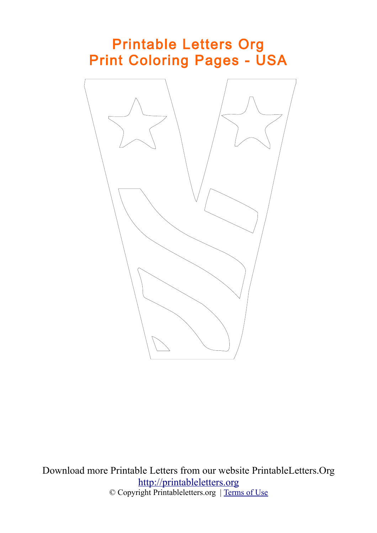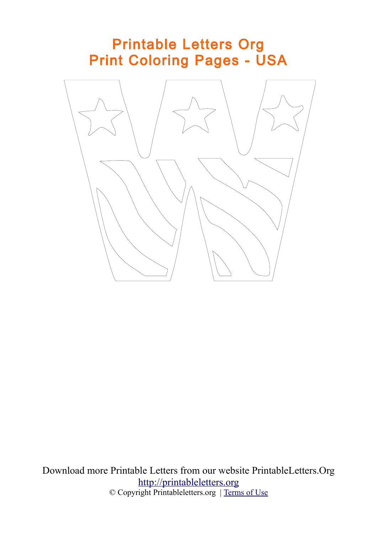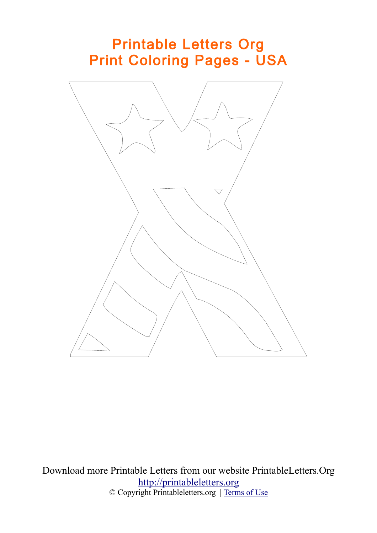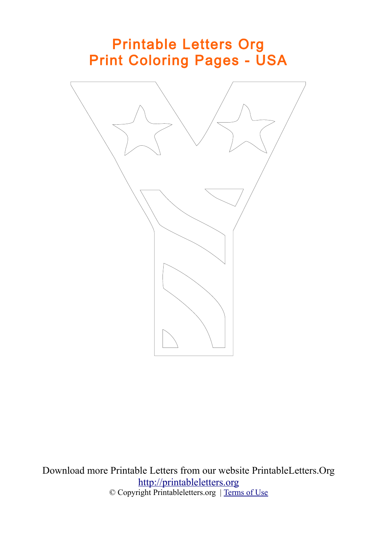